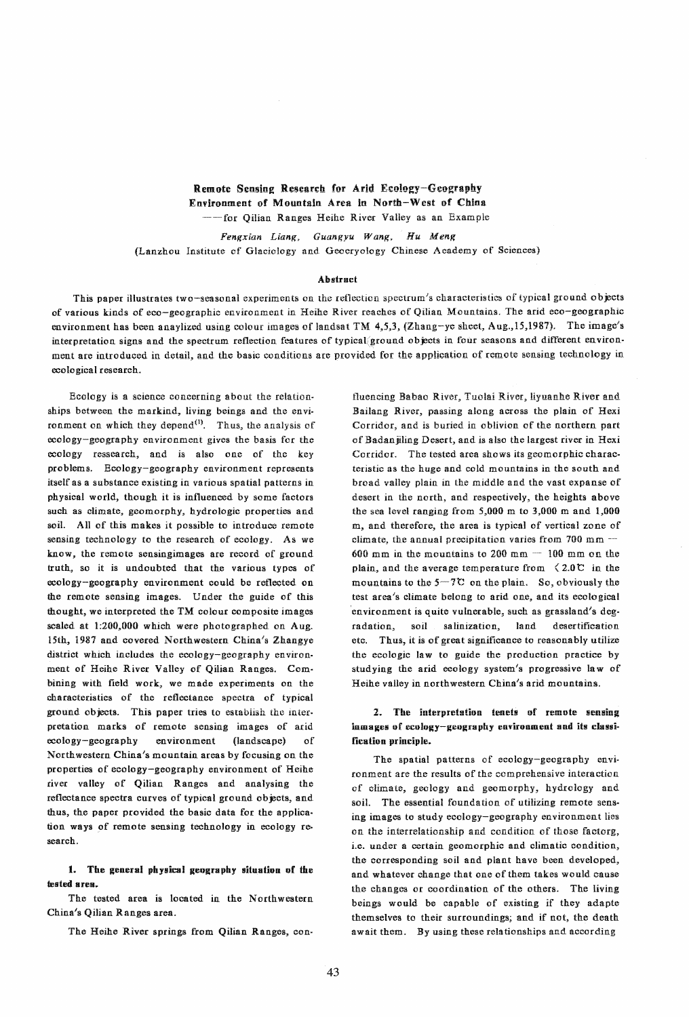Remote Sensing Research for Arid Ecology-Geography Environment of Mountain Area in North-West of China --for Oilian Ranges Heihe River Valley as an Example

Fengxian Liang, Guangyu Wang, Hu Meng (Lanzhou Institute of Glaciology and Geocryology Chinese Academy of Sciences)

### Abstract

This paper illustrates two-seasonal experiments on the reflection spectrum's characteristics of typical ground objects of various kinds of eeo-geographic environment in Reihe River reaches of Qilian Mountains. The arid eco-geographic environment has been anaylized using colour images ef landsat TM 4,5,3, (Zhang-ye sheet, Aug.,15,1987). The image's interpretation signs and the spectrum reflection features of typical/ground objects in four seasons and different environment are introduced in detail, and the basic conditions are provided for the application of remote sensing technology in ecological research.

Ecology is a science concerning about the relation· ships between the markind, living beings and the environment on which they depend $^{(1)}$ . Thus, the analysis of ecology-geography environment gives the basis for the ecology ressearch, and is also one of the key problems. Ecology-geography environment represents itself as a substance existing in various spatial patterns in physical world, though it is influenced by some factors such as climate, geomorphy, hydrologic properties and soil. All of this makes it possible to introduce remote sensing technology to the research of ecology. As we know, the remote sensing images are record of ground truth, so it is undoubted that the various types of ecology-geography environment could be reflected on the remote sensing images. Under the guide of this thought, we interpreted the TM colour composite images scaled at 1:200.000 which were photographed on Aug. 15th, 1981 and covered Northwestern China's Zhangye district which includes the ecology-geography environment of Heihe River VaHey of Qilian Ranges. Combining with field work, we made experiments on the characteristics of the reflectance spectra of typical ground objects. This paper tries to establish the interpretation marks of remote sensing images of arid ecology-geography environment (landscape) of Northwestern China's mountain areas by focusing on the properties of ecology-geography environment of Heihe river valley of Qilian Ranges and analysing the reflectance spectra curves of typical ground objects, and thus, the paper provided the basic data for the application ways of remote sensing technology in ecology research.

1. The general physical geography situation of the tested sres.

The tested area is located in the Northwestern China's Qilian Ranges area.

The Heihe River springs from Qilian Ranges, con·

fluencing Babao River, Tuolai River, liyuanhe River and Bailang River, passing along across the plain of Hexi Corridor, and is buried in oblivion of the northern part of Badanjiling Desert. and is also the largest river in Hexi Corridor. The tested area shows its geomorphic characteristic as the huge and cold. mountains in the south and broad valley plain in the middle and the vast expanse of desert in the north, and respectively, the heights above the sea level ranging from 5,000 m to 3,000 m and 1,000 m, and therefore, the area is typical of vertical zone of climate, the annual precipitation varies from  $700$  mm  $-$ 600 mm in the mountains to  $200$  mm  $-100$  mm on the plain, and the average temperature from  $\leq 2.0 \, \text{C}$  in the mountains to the  $5-7C$  on the plain. So, obviously the test area's climate belong to arid one, and its ecological environment is quite vulnerable, such as grassland's degradation, soil salinization, land desertification etc. Thus, it is of great significance to reasonably utilize the ecologic law to guide the production practice by studying the arid ecology system's progressive law of Heihe valley in northwestern China's arid mountains.

# 2. The interpretation tenets of remote sensing mmages of ecology-geography environment snd its classification principle.

The spatial patterns of ecology-geography envi· ronment are the results of the comprehensive interaction of climate, geology and geomorphy, hydrology and soiL The essential foundation of utilizing remote sensing images to study ecology-geography environment lies on the interrelationship and condition of those factorg, i.e. under a certain geomorphic and climatic condition, the corresponding soil and plant have been developed, and whatever change that one of them takes would cause the changes or coordination of the others. The living beings would be capable of existing if they adapte themselves to their surroundings; and if not, the death await them. By using these relationships and according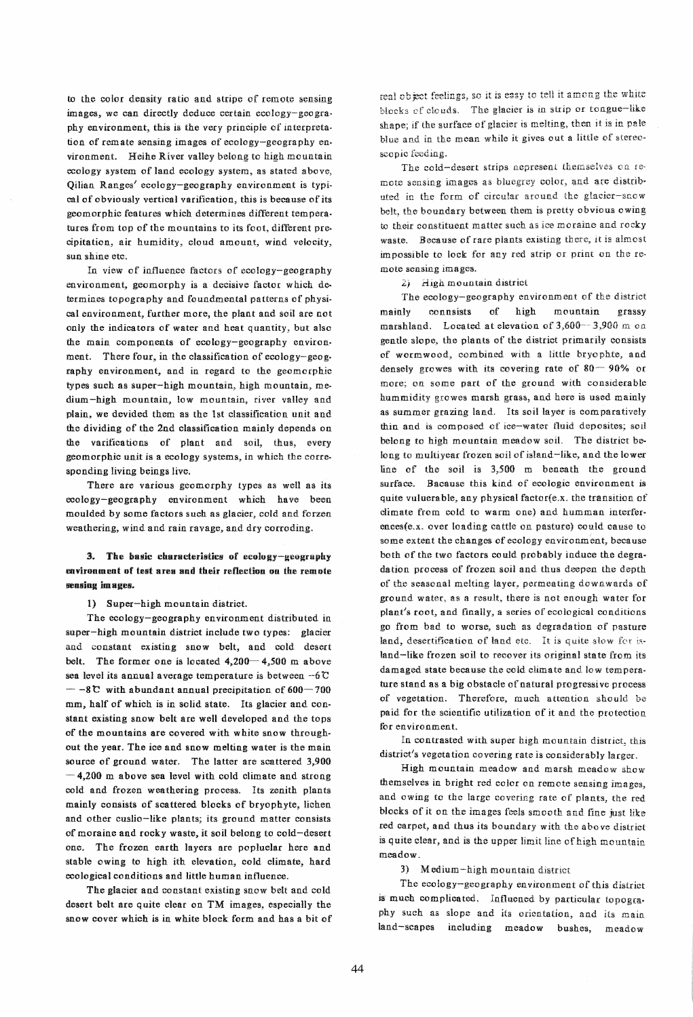to the color density ratio and stripe of remote sensing images, we can directly deduce certain ecology-geogra. phy environment, this is the very principle of interpreta. tion of rem ate sensing images of ecology-geography en· vironment. Heihe River vaHey belong to high mountain ecology system of land ecology system. as stated above, Qilian Ranges' ecology-geography environment is typi. cal of obviously vertical varification, this is because of its geomorphic features which determines different temperatures from top of the mountains to its foot, different precipitation, air humidity, cloud amount, wind velocity, sun shine etc.

In view of influence factors of ecology-geography environment, geomorphy is a decisive factor which determines topography and foundmental patterns of physical environment, further more, the plant and soil are not only the indicators of water and heat quantity, but also the main components of ecology-geography environment. There four, in the classification of ecology-geog. raphy environment, and in regard to the geomorphic types such as super-high mountain, high mountain, me· dium-high mountain, low mountain, river valley and plain, we devided them as the 1st classification unit and the dividing of the 2nd classification mainly depends on the varifications of plant and soil, thus, every geomorphic unit is a ecology systems, in which the corre· sponding living beings live.

There are various geomorphy types as well as its ecology-geography environment which have been moulded by some factors such as glacier, cold and forzen weathering, wind and rain ravage, and dry corroding.

# 3. The basic characteristics of ecology-geography environment of test area and their reflection on the remote sensing images.

1) Super-high mountain district.

The ecology-geography environment distributed in super-high mountain district include two types: glacier and constant existing snow belt, and cold desert belt. The former one is located  $4,200 - 4,500$  m above sea level its annual average temperature is between  $-6$  C  $-8$   $\degree$  with abundant annual precipitation of 600-700 mm, half of which is in solid state. Its glacier and con· stant existing snow belt are well developed and the tops of the mountains are covered with white snow through. out the year. The ice and snow melting water is the main source of ground water. The latter are scattered 3,900  $-4,200$  m above sea level with cold climate and strong cold and frozen weathering process. Its zenith plants mainly consists of scattered blocks of bryophyte, lichen and other cuslio-like plants; its ground matter consists of moraine and rocky waste, it soil belong to cold-desert one. The frozen earth layers are popluelar here and stable owing to high ith elevation, cold climate, hard ecological conditions and little human influence.

The glacier and constant existing snow belt and cold desert belt are quite clear on TM images, especially the snow cover which is in white block form and has a bit of real object feelings, so it is easy to tell it among the white<br>blocks of clouds. The glacier is in strip or tongue-like shape; if the surface of glacier is melting, then it is in pale blue and in the mean while it gives out a little of stereo· scopic feeding.

The cold-desert strips nepresent themselves on remote sensing images as bluegrey color, and are distributed in the form of circular around the glacier-snow belt, the boundary between them is pretty obvious owing to their constituent matter such as ice moraine and rocky waste. Because of rare plants existing there, it is almost impossible to lock for any red strip or print on the re· mote sensing images.

2) High mountain district

The ecology-geography environment of the district mainly connsists of high mountain grassy marshland. Located at elevation of  $3,600-3,900$  m on gentle slope, the plants of the district primarily consists of wormwood, combined with a little bryophte, and densely growes with its covering rate of 80-90% or more; on some part of the ground with considerable hummidity growes marsh grass, and here is used mainly as summer grazing land. Its soil layer is comparatively thin and is composed of ice-water tluid deposites; soil belong to high mountain meadow soil. The district belong to multiyear frozen soil of island-like, and the lower line of the soil is 3,500 m beneath the ground surface. Bacause this kind of ecologic environment is quite vuluerable, any physical factor(e.x. the transition of climate from cold to warm one) and humman interferences(e.x. over loading cattle on pasture) could cause to some extent the changes of ecology environment, because both of the two factors could probably induce the degra· dation process of frozen soil and thus deepen the depth of the seasonal melting layer, permeating downwards of ground water, as a result, there is not enough water for plant's root, and finally, a series of ecological conditions go from bad to worse, such as degradation of pasture land, desertification of land etc. It is quite slow for island-like frozen soil to recover its original state from its damaged state because the cold climate and low temperature stand as a big obstacle of natural progressive process of vegetation. Therefore, much attention should be paid for the scientific utilization of it and the protection for en vironment.

In contrasted with super high mountain district, this district's vegetation covering rate is considerably larger.

High mountain meadow and marsh meadow show themselves in bright red color on remote sensing images, and owing to the large covering rate of plants, the red blocks of it on the images feels smooth and fine just like red carpet, and thus its boundary with the abo ve district is quite clear, and is the upper limit line of high mountain meadow.

3} Medium-high mountain district

The ecology-geography environment of this district is much complicated. Influened by particular topography such as slope and its orientation, and iis main land-scapes including meadow bushes, meadow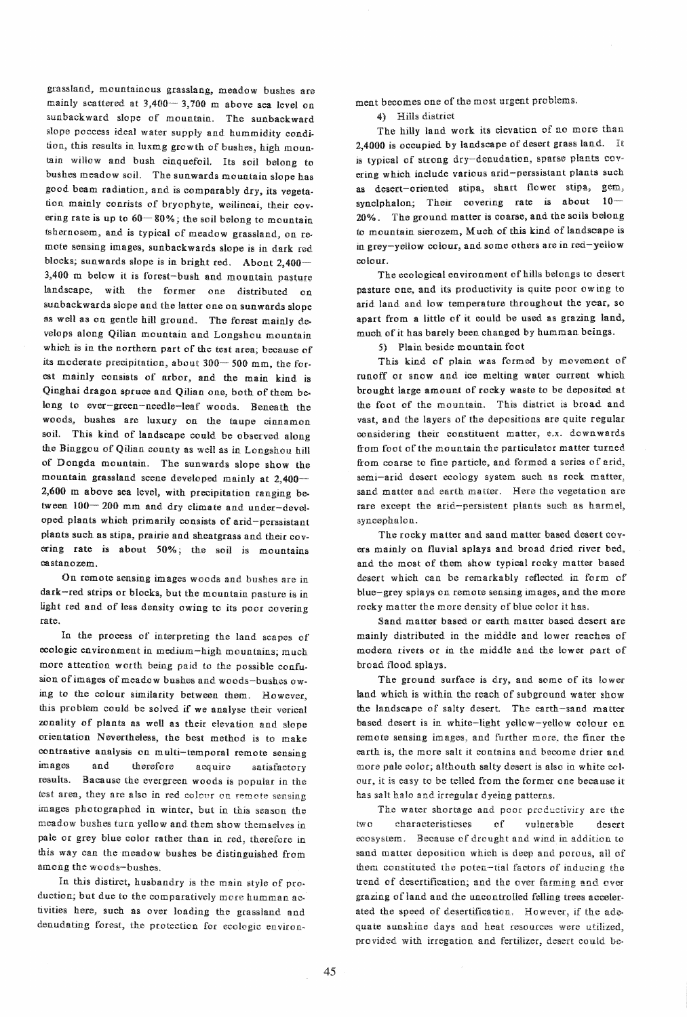grassland, mountainous grasslang. meadow bushes are mainly scattered at  $3,400-3,700$  m above sea level on sunbackward slope of mountain. The sunbackward slope poccess ideal water supply and hummidity condition, this results in luxmg growth of bushes, high moun. tain willow and bush cinquefoil. Its soil belong to bushes meadow soil. The sunwards mountain slope has good beam radiation, and is comparably dry, its vegeta. tion mainly conrists of bryophyte, weilincai, their covering rate is up to  $60-80\%$ ; the soil belong to mountain tshernosem, and is typical of meadow grassland, on remote sensing images, sunbackwards slope is in dark red blocks; sunwards slope is in bright red. Abont 2,400-3,400 m below it is forest-bush and mountain pasture landscape, with the former one distributed on sunbackwards slope and the latter one on sun wards slope as well as on gentle hill ground. The forest mainly develops along QiIian mountain and Longshou mountain which is in the northern part of the test area; because of its moderate precipitation, about 300- 500 mm, the forest mainly consists of arbor, and the main kind is Qinghai dragon spruce and Qilian one, both of them belong to ever-green-needle-ieaf woods. Beneath the woods, bushes are luxury on the taupe cinnamon soil. This kind of landscape could be observed along the Binggou of Qilian county as well as in Longshou hill of Dongda mountain. The sunwards slope show the mountain grassland scene developed mainly at 2,400-2,600 m above sea level, with precipitation ranging between  $100-200$  mm and dry climate and under-developed plants which primarily consists of arid-perssistant plants such as stipa, prairie and sheatgrass and their covering rate is about 50%; the soil is mountains castanozem.

On remote sensing images woods and bushes are in dark-red strips or blocks, but the mountain pasture is in light red and of less density owing to its poor covering rate.

In the process of interpreting the land scapes of ecologic environment in medium-high mountains; much more attention worth being paid to the possible confusion of images of meadow bushes and woods-bushes owing to the colour similarity between them. However, this problem could be solved if we analyse their verical zonality of plants as well as their elevation and slope orientation Nevertheless. the best method is to make contrastive analysis on multi-temporal remote sensing images and therefore acquire satisfactory results. Bacause the evergreen woods is popular in the test area, they are also in red colour on remote sensing images photographed in winter, but in this season the meadow bushes tarn yellow and them show themselves in paie or grey blue color rather than in red, therefore in this way can the meadow bushes be distinguished from among the woods-bushes.

In this distirct, husbandry is the main style of production; but due to the comparatively more humman activities here, such as over loading the grassland and denudating forest, the protection for ecologic environ. ment becomes one of the most urgent problems.

4) HiHs district

The hilly land work its elevation of no more than 2,4000 is occupied by landscape of desert grass land. It is typical of strong dry-denudation, sparse plants covering which include various arid-perssistant plants such as desert-oriented stipa, shart flower stipa, gem, synclphalon; Their covering rate is about  $10-$ 20% • The ground matter is coarse, and the soils belong to mountain sierozem, Much of this kind of landscape is in grey-yellow colour, and some others are in red-yeliow colour.

The ecological environment of hills belongs to desert pasture one, and its productivity is quite poor owing to arid land and low temperature throughout the year, so apart from a little of it could be used as grazing land. much of it has barely been. changed by humman. beings.

5) Plain beside mountain foot

This kind of plain was formed by movement of runoff or snow and ice melting water current which brought iarge amount of rocky waste to be deposited at the foot of the mountain. This district is broad and vast, and the layers of the depositions are quite regular considering their constituent matter, e.x. downwards from foot of the mountain the particulator matter turned from coarse to fine particle, and formed a series of arid, semi-arid desert ecology system such as rock matter, sand matter and earth matter. Here the vegetation are rare except the arid-persistent plants such as harmel, syncephalon.

The rocky matter and sand matter based desert covers mainly on fluvial splays and broad dried river bed, and the most of them show typical rocky matter based desert which can be remarkably retlected in form of blue-grey splays on remote sensing images, and the more rocky matter the more density of blue color it has.

Sand matter based or earth matter based desert are mainly distributed in the middle and lower reaches of modern rivers or in the middle and the lower part of bread flood splays.

The ground surface is dry, and some of its Iower land which is within the reach of subground water show the landscape of salty desert. The earth-sand matter based desert is in white-light yellow-yellow colour on remote sensing images, and further more, the finer the earth is, the more salt it contains and become drier and more pale color; altheuth salty desert is also in white col· our, it is easy to be telled from the former one because it has salt halo and irregular dyeing patterns.

The water shortage and poor productiviry are the two characteristicses of vulnerable desert ecosystem. Because of drought and wind in addition to sand matter deposition which is deep and porous, all of them constituted the poten-tial factors of inducing the trend of desertificatien; and the ever farming and over grazing of iand and the uncontrolled felling trees accelerated the speed of desertification. However, if the adequate sunshine days and heat resources were utilized, provided with irregation and fertilizer, desert could be-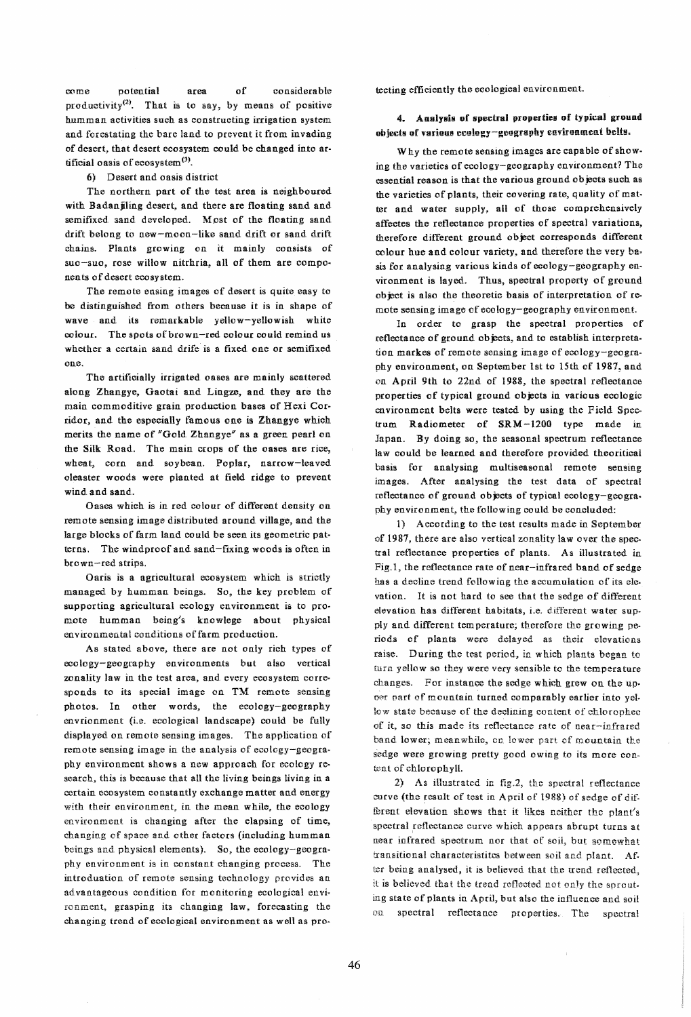come potential area of considerable productivity(2). That is to say, by means of positive humman activities such as constructing irrigation system and forestating the bare land to prevent it from invading of desert, that desert ecosystem could be changed into ar· tificial oasis of ecosystem<sup>(3)</sup>.

## 6) Desert and oasis district

The northern part of the test area is neighboured with Badan iling desert, and there are floating sand and semifixed sand developed. Mpst of the floating sand drift belong to new-moon-like sand drift or sand drift chains. Plants growing on it mainly consists of suo-suo, rose willow nitrhria, all of them are components of desert ecosystem.

The remote ensing images of desert is quite easy to be distinguished from others because it is in shape of wave and its remarkable yellow-yellowish white colour. The spots of brown-red colour could remind us whether a certain sand drife is a fixed one or semifixed one.

The artificially irrigated oases are mainly scattered along Zhangye. Gaotai and Lingze. and they are the main commoditive grain production bases of Hexi Corridor, and the especially famous one is Zhangye which merits the name of "Gold Zhangye" as a green pearl on the Silk Road. The main crops of the oases are rice, wheat, corn and soybean. Poplar, narrow-leaved oleaster woods were planted at field ridge to prevent wind. and sand.

Oases which is in red colour of different density on remote sensing image distributed around village, and the large blocks of farm land could be seen its geometric pat· terns. The windproof and sand-fixing woods is often in brown-red strips.

Oaris is a agricultural ecosystem which is strictly managed by humman beings. So, the key problem of supporting agricultural ecology environment is to promote humman being's knowlege about physical environmental conditions of farm production.

As stated above, there are not only rich types of ecology-geography environments but also vertical zonality law in the test area, and every ecosystem corre· sponds to its special image on TM remote sensing photos. In other words, the ecology-geography envrionment (i.e. ecological landscape) could be fully displayed on remote sensing images. The application of remote sensing image in the analysis of ecology-geography environment shows a new approach for ecology research, this is because that all the living beings living in a certain ecosystem constantly exchange matter and energy with their environment, in the mean while, the ecology environment is changing after the elapsing of time, changing of space and other factors (including humman beings and physical elements). So, the ecology-geography environment is in constant changing process. The introduation of remote sensing technology provides an advantageous condition for monitoring ecological envi· ronment, grasping its changing law. forecasting the changing trend of ecological environment as well as pro·

tecting efficiently the ecological environment.

# 4. Analysis of spectral properties of typical ground objects of various ecology-geography environment belts.

Why the remote sensing images are capable of showing the varieties of ecology-geography environment? The essential reason is that the various ground objects such as the varieties of plants, their covering rate, quality of mat· ter and water supply, all of those comprehensively affectes the reflectance properties of spectral variations, therefore different ground object corresponds different colour hue and colour variety, and therefore the very ba. sis for analysing various kinds of ecology-geography environment is layed. Thus, spectral property of ground object is also the theoretic basis of interpretation of remote sensing image of ecology-geography environment

In order to grasp the spectral properties of reflectance of ground objects, and to establish interpretation markes of remote sensing image of ecology-geogra. phy environment, on September 1st to 15th of 1987, and on April 9th to 22nd of 1988, the spectral reflectance properties of typical ground objects in various ecologic environment belts were tested by using the Field Spectrum Radiometer of SRM-1200 type made in Japan. By doing so, the seasonal spectrum reflectance law could be learned and therefore provided theoritical basis for analysing multiseasonal remote sensing images. After analysing the test data of spectral reflectance of ground objects of typical ecology-geography environment, the following could be concluded:

1) According to the test results made in September of 1987, there are also vertical zonality law over the spec· tral reflectance properties of piants. As illustrated in Fig.I, the reflectance rate of near-infrared band of sedge has a decline trend foHowing the accumulation of its elevation. It is not hard to see that the sedge of different elevation has different habitats, i.e. different water supply and different temperature; therefore the growing periods of plants were delayed as their elevations raise. During the test period., in which plants began to turn yellow so they were very sensible to the temperature changes, For instance the sedge which grew on the up· ner part of mountain. turned comparably earlier into yel. low state because of the declining content of chlorophec of it, so this made its reflectance rate of near-infrared band lower; meanwhile, on lower part of mountain the sedge were growing pretty good owing to its more con· tent of chlorophylL

2) As illustrated in fig.2, the spectral reflectance curve (the result of test in April of 1988) of sedge of different elevation shows that it likes neither the plant's spectral reflectance curve which appears abrupt turns at near infrared spectrum nor that of soil, but somewhat transitional characteristitcs between soil and plant. Af. ter being analysed, it is believed that the trend reflected. it is believed that the trend reflected not only the sprouting state of plants in April, but also the influence and soil on spectral reflectance properties. The spectral